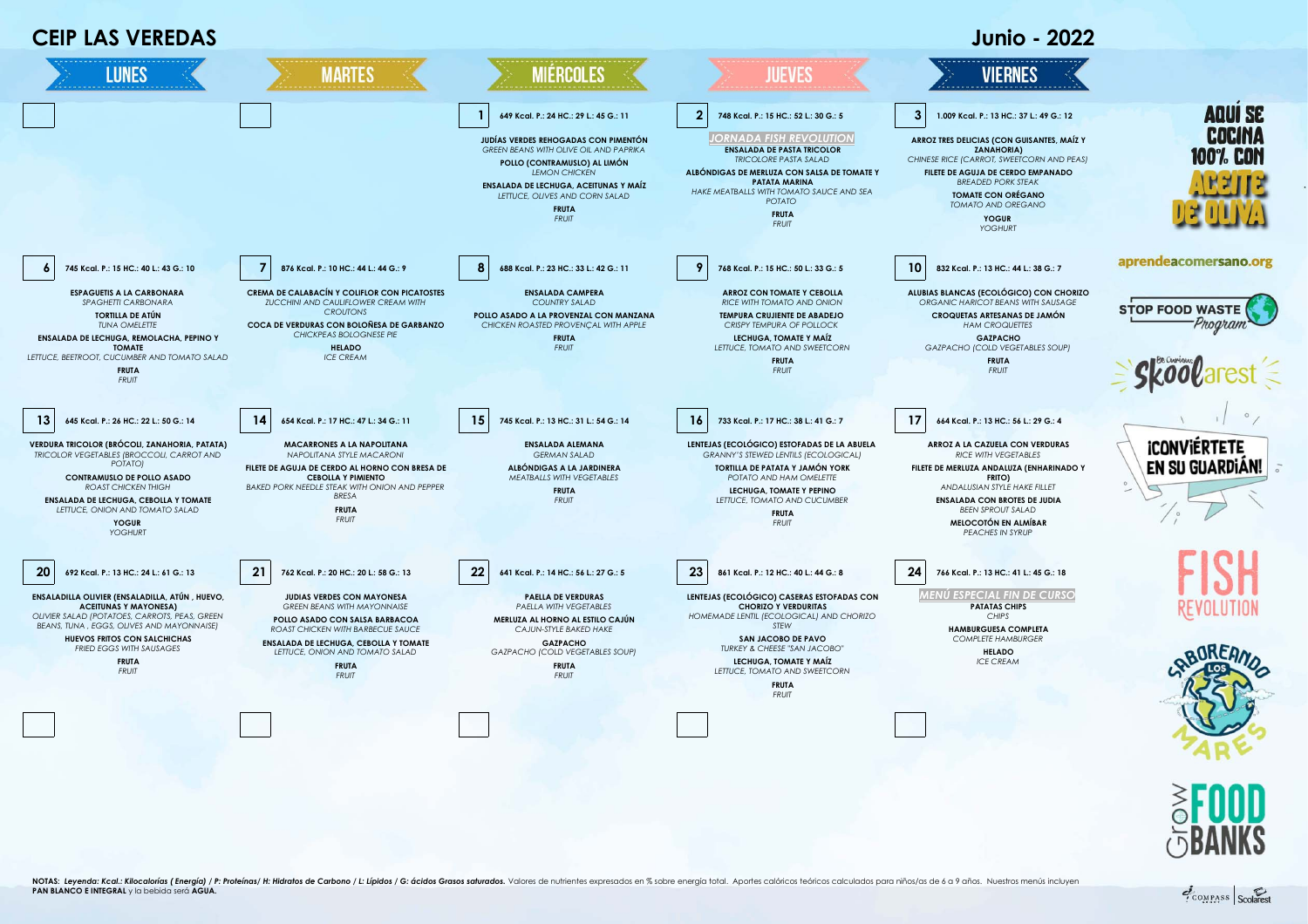



COMPASS Scolares